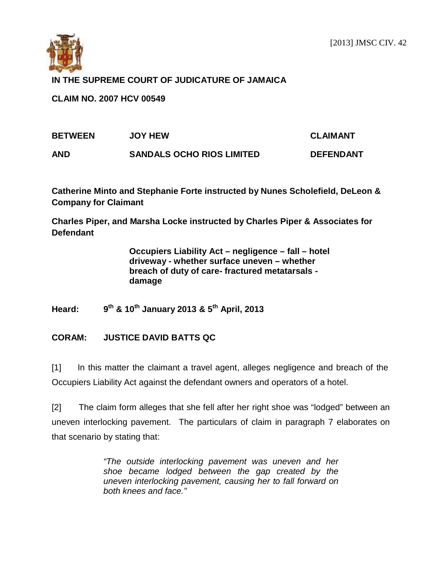

## **IN THE SUPREME COURT OF JUDICATURE OF JAMAICA**

**CLAIM NO. 2007 HCV 00549**

| <b>BETWEEN</b> | <b>JOY HEW</b>                   | <b>CLAIMANT</b>  |
|----------------|----------------------------------|------------------|
| <b>AND</b>     | <b>SANDALS OCHO RIOS LIMITED</b> | <b>DEFENDANT</b> |

**Catherine Minto and Stephanie Forte instructed by Nunes Scholefield, DeLeon & Company for Claimant**

**Charles Piper, and Marsha Locke instructed by Charles Piper & Associates for Defendant**

> **Occupiers Liability Act – negligence – fall – hotel driveway - whether surface uneven – whether breach of duty of care- fractured metatarsals damage**

**Heard: 9th & 10th January 2013 & 5th April, 2013**

## **CORAM: JUSTICE DAVID BATTS QC**

[1] In this matter the claimant a travel agent, alleges negligence and breach of the Occupiers Liability Act against the defendant owners and operators of a hotel.

[2] The claim form alleges that she fell after her right shoe was "lodged" between an uneven interlocking pavement. The particulars of claim in paragraph 7 elaborates on that scenario by stating that:

> *"The outside interlocking pavement was uneven and her shoe became lodged between the gap created by the uneven interlocking pavement, causing her to fall forward on both knees and face."*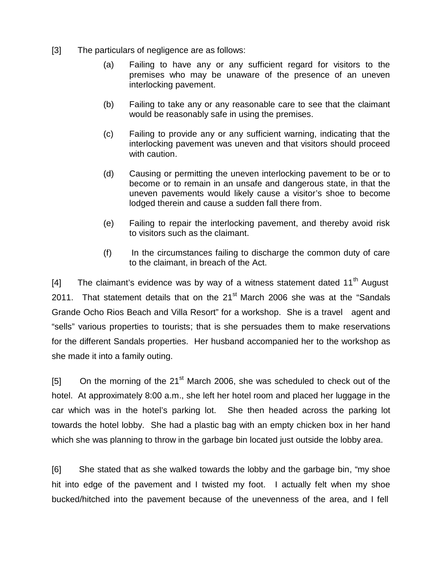- [3] The particulars of negligence are as follows:
	- (a) Failing to have any or any sufficient regard for visitors to the premises who may be unaware of the presence of an uneven interlocking pavement.
	- (b) Failing to take any or any reasonable care to see that the claimant would be reasonably safe in using the premises.
	- (c) Failing to provide any or any sufficient warning, indicating that the interlocking pavement was uneven and that visitors should proceed with caution.
	- (d) Causing or permitting the uneven interlocking pavement to be or to become or to remain in an unsafe and dangerous state, in that the uneven pavements would likely cause a visitor's shoe to become lodged therein and cause a sudden fall there from.
	- (e) Failing to repair the interlocking pavement, and thereby avoid risk to visitors such as the claimant.
	- (f) In the circumstances failing to discharge the common duty of care to the claimant, in breach of the Act.

[4] The claimant's evidence was by way of a witness statement dated  $11<sup>th</sup>$  August 2011. That statement details that on the  $21<sup>st</sup>$  March 2006 she was at the "Sandals Grande Ocho Rios Beach and Villa Resort" for a workshop. She is a travel agent and "sells" various properties to tourists; that is she persuades them to make reservations for the different Sandals properties. Her husband accompanied her to the workshop as she made it into a family outing.

[5] On the morning of the  $21^{st}$  March 2006, she was scheduled to check out of the hotel. At approximately 8:00 a.m., she left her hotel room and placed her luggage in the car which was in the hotel's parking lot. She then headed across the parking lot towards the hotel lobby. She had a plastic bag with an empty chicken box in her hand which she was planning to throw in the garbage bin located just outside the lobby area.

[6] She stated that as she walked towards the lobby and the garbage bin, "my shoe hit into edge of the pavement and I twisted my foot. I actually felt when my shoe bucked/hitched into the pavement because of the unevenness of the area, and I fell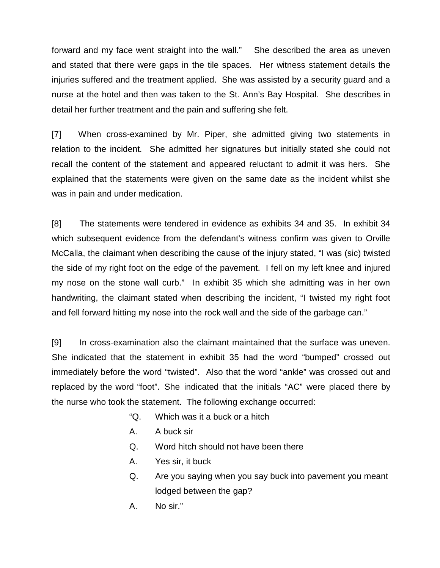forward and my face went straight into the wall." She described the area as uneven and stated that there were gaps in the tile spaces. Her witness statement details the injuries suffered and the treatment applied. She was assisted by a security guard and a nurse at the hotel and then was taken to the St. Ann's Bay Hospital. She describes in detail her further treatment and the pain and suffering she felt.

[7] When cross-examined by Mr. Piper, she admitted giving two statements in relation to the incident. She admitted her signatures but initially stated she could not recall the content of the statement and appeared reluctant to admit it was hers. She explained that the statements were given on the same date as the incident whilst she was in pain and under medication.

[8] The statements were tendered in evidence as exhibits 34 and 35. In exhibit 34 which subsequent evidence from the defendant's witness confirm was given to Orville McCalla, the claimant when describing the cause of the injury stated, "I was (sic) twisted the side of my right foot on the edge of the pavement. I fell on my left knee and injured my nose on the stone wall curb." In exhibit 35 which she admitting was in her own handwriting, the claimant stated when describing the incident, "I twisted my right foot and fell forward hitting my nose into the rock wall and the side of the garbage can."

[9] In cross-examination also the claimant maintained that the surface was uneven. She indicated that the statement in exhibit 35 had the word "bumped" crossed out immediately before the word "twisted". Also that the word "ankle" was crossed out and replaced by the word "foot". She indicated that the initials "AC" were placed there by the nurse who took the statement. The following exchange occurred:

- "Q. Which was it a buck or a hitch
- A. A buck sir
- Q. Word hitch should not have been there
- A. Yes sir, it buck
- Q. Are you saying when you say buck into pavement you meant lodged between the gap?
- A. No sir."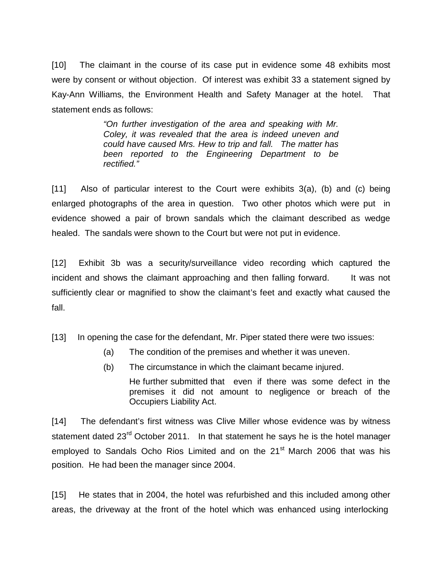[10] The claimant in the course of its case put in evidence some 48 exhibits most were by consent or without objection. Of interest was exhibit 33 a statement signed by Kay-Ann Williams, the Environment Health and Safety Manager at the hotel. That statement ends as follows:

> *"On further investigation of the area and speaking with Mr. Coley, it was revealed that the area is indeed uneven and could have caused Mrs. Hew to trip and fall. The matter has been reported to the Engineering Department to be rectified."*

[11] Also of particular interest to the Court were exhibits 3(a), (b) and (c) being enlarged photographs of the area in question. Two other photos which were put in evidence showed a pair of brown sandals which the claimant described as wedge healed. The sandals were shown to the Court but were not put in evidence.

[12] Exhibit 3b was a security/surveillance video recording which captured the incident and shows the claimant approaching and then falling forward. It was not sufficiently clear or magnified to show the claimant's feet and exactly what caused the fall.

[13] In opening the case for the defendant, Mr. Piper stated there were two issues:

- (a) The condition of the premises and whether it was uneven.
- (b) The circumstance in which the claimant became injured.
	- He further submitted that even if there was some defect in the premises it did not amount to negligence or breach of the Occupiers Liability Act.

[14] The defendant's first witness was Clive Miller whose evidence was by witness statement dated 23<sup>rd</sup> October 2011. In that statement he says he is the hotel manager employed to Sandals Ocho Rios Limited and on the 21<sup>st</sup> March 2006 that was his position. He had been the manager since 2004.

[15] He states that in 2004, the hotel was refurbished and this included among other areas, the driveway at the front of the hotel which was enhanced using interlocking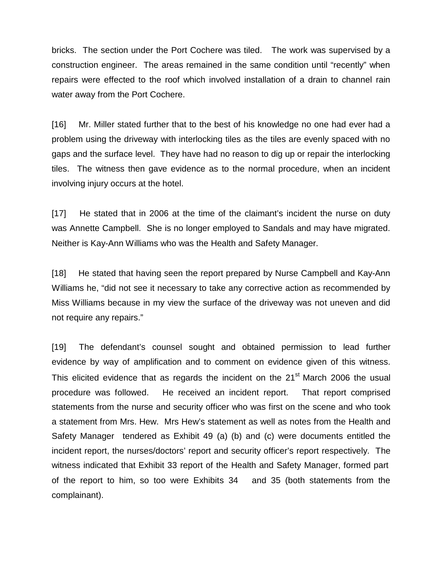bricks. The section under the Port Cochere was tiled. The work was supervised by a construction engineer. The areas remained in the same condition until "recently" when repairs were effected to the roof which involved installation of a drain to channel rain water away from the Port Cochere.

[16] Mr. Miller stated further that to the best of his knowledge no one had ever had a problem using the driveway with interlocking tiles as the tiles are evenly spaced with no gaps and the surface level. They have had no reason to dig up or repair the interlocking tiles. The witness then gave evidence as to the normal procedure, when an incident involving injury occurs at the hotel.

[17] He stated that in 2006 at the time of the claimant's incident the nurse on duty was Annette Campbell. She is no longer employed to Sandals and may have migrated. Neither is Kay-Ann Williams who was the Health and Safety Manager.

[18] He stated that having seen the report prepared by Nurse Campbell and Kay-Ann Williams he, "did not see it necessary to take any corrective action as recommended by Miss Williams because in my view the surface of the driveway was not uneven and did not require any repairs."

[19] The defendant's counsel sought and obtained permission to lead further evidence by way of amplification and to comment on evidence given of this witness. This elicited evidence that as regards the incident on the 21<sup>st</sup> March 2006 the usual procedure was followed. He received an incident report. That report comprised statements from the nurse and security officer who was first on the scene and who took a statement from Mrs. Hew. Mrs Hew's statement as well as notes from the Health and Safety Manager tendered as Exhibit 49 (a) (b) and (c) were documents entitled the incident report, the nurses/doctors' report and security officer's report respectively. The witness indicated that Exhibit 33 report of the Health and Safety Manager, formed part of the report to him, so too were Exhibits 34 and 35 (both statements from the complainant).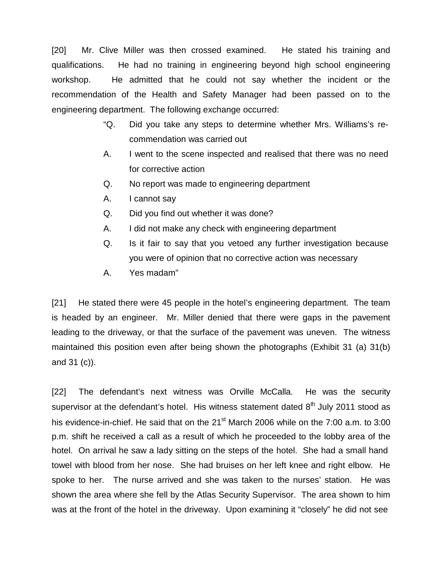[20] Mr. Clive Miller was then crossed examined. He stated his training and qualifications. He had no training in engineering beyond high school engineering workshop. He admitted that he could not say whether the incident or the recommendation of the Health and Safety Manager had been passed on to the engineering department. The following exchange occurred:

- "Q. Did you take any steps to determine whether Mrs. Williams's recommendation was carried out
- A. I went to the scene inspected and realised that there was no need for corrective action
- Q. No report was made to engineering department
- A. I cannot say
- Q. Did you find out whether it was done?
- A. I did not make any check with engineering department
- Q. Is it fair to say that you vetoed any further investigation because you were of opinion that no corrective action was necessary
- A. Yes madam"

[21] He stated there were 45 people in the hotel's engineering department. The team is headed by an engineer. Mr. Miller denied that there were gaps in the pavement leading to the driveway, or that the surface of the pavement was uneven. The witness maintained this position even after being shown the photographs (Exhibit 31 (a) 31(b) and 31 (c)).

[22] The defendant's next witness was Orville McCalla. He was the security supervisor at the defendant's hotel. His witness statement dated  $8<sup>th</sup>$  July 2011 stood as his evidence-in-chief. He said that on the 21<sup>st</sup> March 2006 while on the 7:00 a.m. to 3:00 p.m. shift he received a call as a result of which he proceeded to the lobby area of the hotel. On arrival he saw a lady sitting on the steps of the hotel. She had a small hand towel with blood from her nose. She had bruises on her left knee and right elbow. He spoke to her. The nurse arrived and she was taken to the nurses' station. He was shown the area where she fell by the Atlas Security Supervisor. The area shown to him was at the front of the hotel in the driveway. Upon examining it "closely" he did not see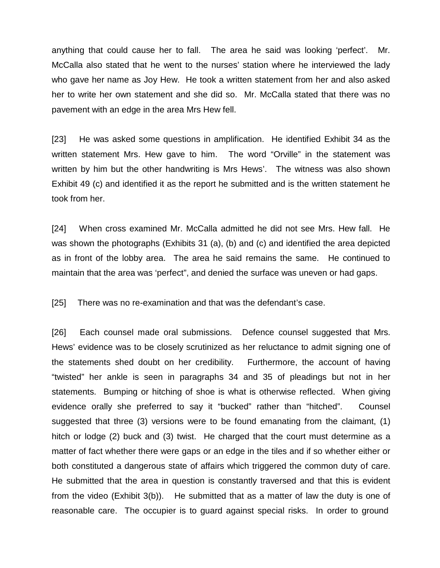anything that could cause her to fall. The area he said was looking 'perfect'. Mr. McCalla also stated that he went to the nurses' station where he interviewed the lady who gave her name as Joy Hew. He took a written statement from her and also asked her to write her own statement and she did so. Mr. McCalla stated that there was no pavement with an edge in the area Mrs Hew fell.

[23] He was asked some questions in amplification. He identified Exhibit 34 as the written statement Mrs. Hew gave to him. The word "Orville" in the statement was written by him but the other handwriting is Mrs Hews'. The witness was also shown Exhibit 49 (c) and identified it as the report he submitted and is the written statement he took from her.

[24] When cross examined Mr. McCalla admitted he did not see Mrs. Hew fall. He was shown the photographs (Exhibits 31 (a), (b) and (c) and identified the area depicted as in front of the lobby area. The area he said remains the same. He continued to maintain that the area was 'perfect", and denied the surface was uneven or had gaps.

[25] There was no re-examination and that was the defendant's case.

[26] Each counsel made oral submissions. Defence counsel suggested that Mrs. Hews' evidence was to be closely scrutinized as her reluctance to admit signing one of the statements shed doubt on her credibility. Furthermore, the account of having "twisted" her ankle is seen in paragraphs 34 and 35 of pleadings but not in her statements. Bumping or hitching of shoe is what is otherwise reflected. When giving evidence orally she preferred to say it "bucked" rather than "hitched". Counsel suggested that three (3) versions were to be found emanating from the claimant, (1) hitch or lodge (2) buck and (3) twist. He charged that the court must determine as a matter of fact whether there were gaps or an edge in the tiles and if so whether either or both constituted a dangerous state of affairs which triggered the common duty of care. He submitted that the area in question is constantly traversed and that this is evident from the video (Exhibit 3(b)). He submitted that as a matter of law the duty is one of reasonable care. The occupier is to guard against special risks. In order to ground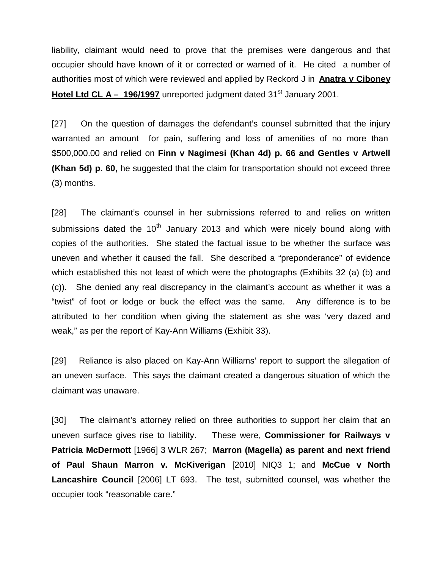liability, claimant would need to prove that the premises were dangerous and that occupier should have known of it or corrected or warned of it. He cited a number of authorities most of which were reviewed and applied by Reckord J in **Anatra v Ciboney Hotel Ltd CL A – 196/1997** unreported judgment dated 31<sup>st</sup> January 2001.

[27] On the question of damages the defendant's counsel submitted that the injury warranted an amount for pain, suffering and loss of amenities of no more than \$500,000.00 and relied on **Finn v Nagimesi (Khan 4d) p. 66 and Gentles v Artwell (Khan 5d) p. 60,** he suggested that the claim for transportation should not exceed three (3) months.

[28] The claimant's counsel in her submissions referred to and relies on written submissions dated the  $10<sup>th</sup>$  January 2013 and which were nicely bound along with copies of the authorities. She stated the factual issue to be whether the surface was uneven and whether it caused the fall. She described a "preponderance" of evidence which established this not least of which were the photographs (Exhibits 32 (a) (b) and (c)). She denied any real discrepancy in the claimant's account as whether it was a "twist" of foot or lodge or buck the effect was the same. Any difference is to be attributed to her condition when giving the statement as she was 'very dazed and weak," as per the report of Kay-Ann Williams (Exhibit 33).

[29] Reliance is also placed on Kay-Ann Williams' report to support the allegation of an uneven surface. This says the claimant created a dangerous situation of which the claimant was unaware.

[30] The claimant's attorney relied on three authorities to support her claim that an uneven surface gives rise to liability. These were, **Commissioner for Railways v Patricia McDermott** [1966] 3 WLR 267; **Marron (Magella) as parent and next friend of Paul Shaun Marron v. McKiverigan** [2010] NIQ3 1; and **McCue v North Lancashire Council** [2006] LT 693. The test, submitted counsel, was whether the occupier took "reasonable care."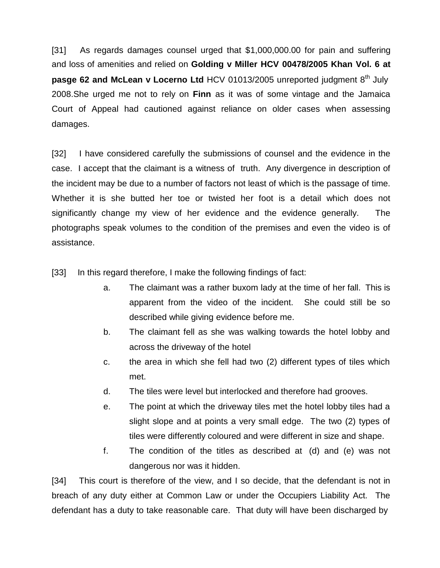[31] As regards damages counsel urged that \$1,000,000.00 for pain and suffering and loss of amenities and relied on **Golding v Miller HCV 00478/2005 Khan Vol. 6 at pasge 62 and McLean v Locerno Ltd** HCV 01013/2005 unreported judgment 8<sup>th</sup> July 2008.She urged me not to rely on **Finn** as it was of some vintage and the Jamaica Court of Appeal had cautioned against reliance on older cases when assessing damages.

[32] I have considered carefully the submissions of counsel and the evidence in the case. I accept that the claimant is a witness of truth. Any divergence in description of the incident may be due to a number of factors not least of which is the passage of time. Whether it is she butted her toe or twisted her foot is a detail which does not significantly change my view of her evidence and the evidence generally. The photographs speak volumes to the condition of the premises and even the video is of assistance.

[33] In this regard therefore, I make the following findings of fact:

- a. The claimant was a rather buxom lady at the time of her fall. This is apparent from the video of the incident. She could still be so described while giving evidence before me.
- b. The claimant fell as she was walking towards the hotel lobby and across the driveway of the hotel
- c. the area in which she fell had two (2) different types of tiles which met.
- d. The tiles were level but interlocked and therefore had grooves.
- e. The point at which the driveway tiles met the hotel lobby tiles had a slight slope and at points a very small edge. The two (2) types of tiles were differently coloured and were different in size and shape.
- f. The condition of the titles as described at (d) and (e) was not dangerous nor was it hidden.

[34] This court is therefore of the view, and I so decide, that the defendant is not in breach of any duty either at Common Law or under the Occupiers Liability Act. The defendant has a duty to take reasonable care. That duty will have been discharged by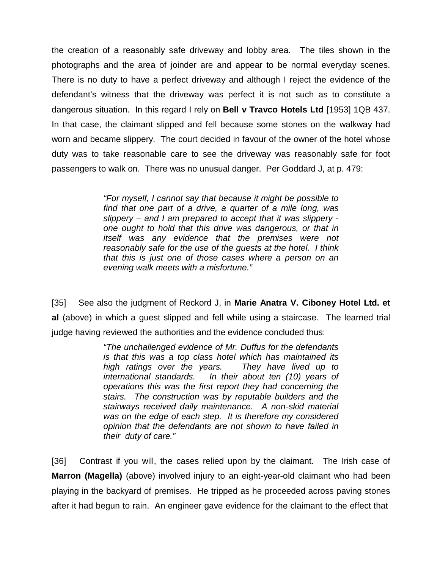the creation of a reasonably safe driveway and lobby area. The tiles shown in the photographs and the area of joinder are and appear to be normal everyday scenes. There is no duty to have a perfect driveway and although I reject the evidence of the defendant's witness that the driveway was perfect it is not such as to constitute a dangerous situation. In this regard I rely on **Bell v Travco Hotels Ltd** [1953] 1QB 437. In that case, the claimant slipped and fell because some stones on the walkway had worn and became slippery. The court decided in favour of the owner of the hotel whose duty was to take reasonable care to see the driveway was reasonably safe for foot passengers to walk on. There was no unusual danger. Per Goddard J, at p. 479:

> *"For myself, I cannot say that because it might be possible to find that one part of a drive, a quarter of a mile long, was slippery – and I am prepared to accept that it was slippery one ought to hold that this drive was dangerous, or that in itself was any evidence that the premises were not reasonably safe for the use of the guests at the hotel. I think that this is just one of those cases where a person on an evening walk meets with a misfortune."*

[35] See also the judgment of Reckord J, in **Marie Anatra V. Ciboney Hotel Ltd. et al** (above) in which a guest slipped and fell while using a staircase. The learned trial judge having reviewed the authorities and the evidence concluded thus:

> *"The unchallenged evidence of Mr. Duffus for the defendants is that this was a top class hotel which has maintained its high ratings over the years. They have lived up to international standards. In their about ten (10) years of operations this was the first report they had concerning the stairs. The construction was by reputable builders and the stairways received daily maintenance. A non-skid material was on the edge of each step. It is therefore my considered opinion that the defendants are not shown to have failed in their duty of care."*

[36] Contrast if you will, the cases relied upon by the claimant. The Irish case of **Marron (Magella)** (above) involved injury to an eight-year-old claimant who had been playing in the backyard of premises. He tripped as he proceeded across paving stones after it had begun to rain. An engineer gave evidence for the claimant to the effect that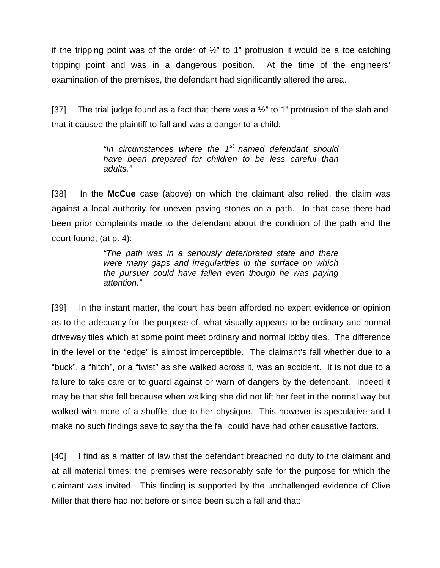if the tripping point was of the order of  $\frac{1}{2}$ " to 1" protrusion it would be a toe catching tripping point and was in a dangerous position. At the time of the engineers' examination of the premises, the defendant had significantly altered the area.

[37] The trial judge found as a fact that there was a  $\frac{1}{2}$ " to 1" protrusion of the slab and that it caused the plaintiff to fall and was a danger to a child:

> *"In circumstances where the 1st named defendant should have been prepared for children to be less careful than adults."*

[38] In the **McCue** case (above) on which the claimant also relied, the claim was against a local authority for uneven paving stones on a path. In that case there had been prior complaints made to the defendant about the condition of the path and the court found, (at p. 4):

> *"The path was in a seriously deteriorated state and there were many gaps and irregularities in the surface on which the pursuer could have fallen even though he was paying attention."*

[39] In the instant matter, the court has been afforded no expert evidence or opinion as to the adequacy for the purpose of, what visually appears to be ordinary and normal driveway tiles which at some point meet ordinary and normal lobby tiles. The difference in the level or the "edge" is almost imperceptible. The claimant's fall whether due to a "buck", a "hitch", or a "twist" as she walked across it, was an accident. It is not due to a failure to take care or to guard against or warn of dangers by the defendant. Indeed it may be that she fell because when walking she did not lift her feet in the normal way but walked with more of a shuffle, due to her physique. This however is speculative and I make no such findings save to say tha the fall could have had other causative factors.

[40] I find as a matter of law that the defendant breached no duty to the claimant and at all material times; the premises were reasonably safe for the purpose for which the claimant was invited. This finding is supported by the unchallenged evidence of Clive Miller that there had not before or since been such a fall and that: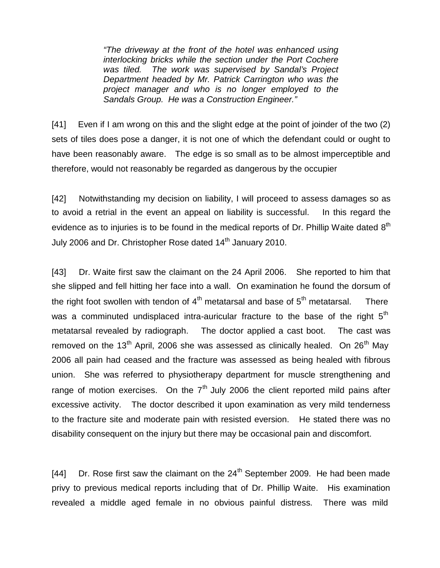*"The driveway at the front of the hotel was enhanced using interlocking bricks while the section under the Port Cochere was tiled. The work was supervised by Sandal's Project Department headed by Mr. Patrick Carrington who was the project manager and who is no longer employed to the Sandals Group. He was a Construction Engineer."*

[41] Even if I am wrong on this and the slight edge at the point of joinder of the two (2) sets of tiles does pose a danger, it is not one of which the defendant could or ought to have been reasonably aware. The edge is so small as to be almost imperceptible and therefore, would not reasonably be regarded as dangerous by the occupier

[42] Notwithstanding my decision on liability, I will proceed to assess damages so as to avoid a retrial in the event an appeal on liability is successful. In this regard the evidence as to injuries is to be found in the medical reports of Dr. Phillip Waite dated  $8<sup>th</sup>$ July 2006 and Dr. Christopher Rose dated 14<sup>th</sup> January 2010.

[43] Dr. Waite first saw the claimant on the 24 April 2006. She reported to him that she slipped and fell hitting her face into a wall. On examination he found the dorsum of the right foot swollen with tendon of  $4<sup>th</sup>$  metatarsal and base of  $5<sup>th</sup>$  metatarsal. There was a comminuted undisplaced intra-auricular fracture to the base of the right  $5<sup>th</sup>$ metatarsal revealed by radiograph. The doctor applied a cast boot. The cast was removed on the 13<sup>th</sup> April, 2006 she was assessed as clinically healed. On 26<sup>th</sup> May 2006 all pain had ceased and the fracture was assessed as being healed with fibrous union. She was referred to physiotherapy department for muscle strengthening and range of motion exercises. On the  $7<sup>th</sup>$  July 2006 the client reported mild pains after excessive activity. The doctor described it upon examination as very mild tenderness to the fracture site and moderate pain with resisted eversion. He stated there was no disability consequent on the injury but there may be occasional pain and discomfort.

[44] Dr. Rose first saw the claimant on the  $24<sup>th</sup>$  September 2009. He had been made privy to previous medical reports including that of Dr. Phillip Waite. His examination revealed a middle aged female in no obvious painful distress. There was mild